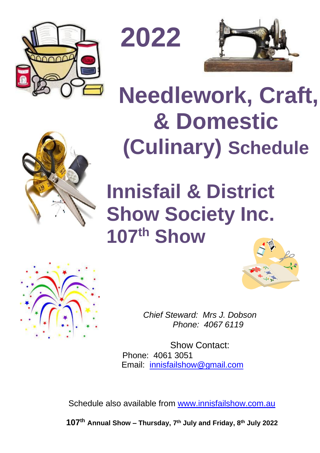

**2022**



**Needlework, Craft,** 

# **& Domestic (Culinary) Schedule**





*Chief Steward: Mrs J. Dobson Phone: 4067 6119*

Show Contact: Phone: 4061 3051 Email: [innisfailshow@gmail.com](mailto:innisfailshow@gmail.com)

Schedule also available from [www.innisfailshow.com.au](http://www.innisfailshow.com.au/)

**107 th Annual Show – Thursday, 7 th July and Friday, 8 th July 2022**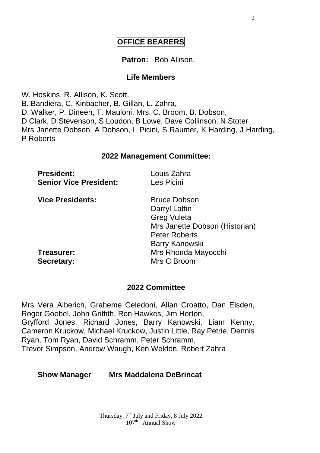# **OFFICE BEARERS**

#### **Patron:** Bob Allison.

#### **Life Members**

W. Hoskins, R. Allison, K. Scott, B. Bandiera, C. Kinbacher, B. Gillan, L. Zahra, D. Walker, P. Dineen, T. Mauloni, Mrs. C. Broom, B. Dobson, D Clark, D Stevenson, S Loudon, B Lowe, Dave Collinson, N Stoter Mrs Janette Dobson, A Dobson, L Picini, S Raumer, K Harding, J Harding, P Roberts

#### **2022 Management Committee:**

| <b>President:</b>             | Louis Zahra |  |
|-------------------------------|-------------|--|
| <b>Senior Vice President:</b> | Les Picini  |  |
|                               |             |  |

**Vice Presidents:** Bruce Dobson

Darryl Laffin Greg Vuleta Mrs Janette Dobson (Historian) Peter Roberts Barry Kanowski **Treasurer:** Mrs Rhonda Mayocchi **Secretary:** Mrs C Broom

#### **2022 Committee**

Mrs Vera Alberich, Graheme Celedoni, Allan Croatto, Dan Elsden, Roger Goebel, John Griffith, Ron Hawkes, Jim Horton, Gryfford Jones, Richard Jones, Barry Kanowski, Liam Kenny, Cameron Kruckow, Michael Kruckow, Justin Little, Ray Petrie, Dennis Ryan, Tom Ryan, David Schramm, Peter Schramm, Trevor Simpson, Andrew Waugh, Ken Weldon, Robert Zahra

#### **Show Manager Mrs Maddalena DeBrincat**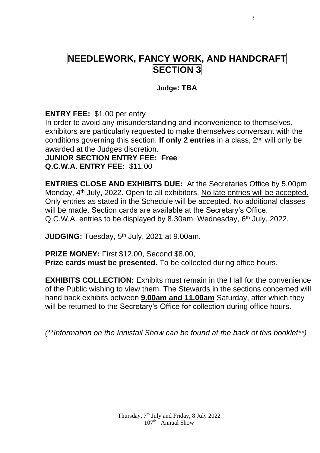# **NEEDLEWORK, FANCY WORK, AND HANDCRAFT SECTION 3**

#### **Judge: TBA**

**ENTRY FEE:** \$1.00 per entry

In order to avoid any misunderstanding and inconvenience to themselves, exhibitors are particularly requested to make themselves conversant with the conditions governing this section. **If only 2 entries** in a class, 2nd will only be awarded at the Judges discretion.

# **JUNIOR SECTION ENTRY FEE: Free**

**Q.C.W.A. ENTRY FEE:** \$11.00

**ENTRIES CLOSE AND EXHIBITS DUE:** At the Secretaries Office by 5.00pm Monday, 4<sup>th</sup> July, 2022. Open to all exhibitors. No late entries will be accepted. Only entries as stated in the Schedule will be accepted. No additional classes will be made. Section cards are available at the Secretary's Office. Q.C.W.A. entries to be displayed by 8.30am. Wednesday, 6<sup>th</sup> July, 2022.

JUDGING: Tuesday, 5<sup>th</sup> July, 2021 at 9.00am.

**PRIZE MONEY:** First \$12.00, Second \$8.00, **Prize cards must be presented.** To be collected during office hours.

**EXHIBITS COLLECTION:** Exhibits must remain in the Hall for the convenience of the Public wishing to view them. The Stewards in the sections concerned will hand back exhibits between **9.00am and 11.00am** Saturday, after which they will be returned to the Secretary's Office for collection during office hours.

*(\*\*Information on the Innisfail Show can be found at the back of this booklet\*\*)*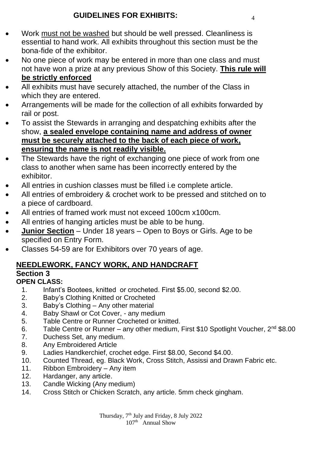# **GUIDELINES FOR EXHIBITS:** <sup>4</sup>

- Work must not be washed but should be well pressed. Cleanliness is essential to hand work. All exhibits throughout this section must be the bona-fide of the exhibitor.
- No one piece of work may be entered in more than one class and must not have won a prize at any previous Show of this Society. **This rule will be strictly enforced**
- All exhibits must have securely attached, the number of the Class in which they are entered.
- Arrangements will be made for the collection of all exhibits forwarded by rail or post.
- To assist the Stewards in arranging and despatching exhibits after the show, **a sealed envelope containing name and address of owner must be securely attached to the back of each piece of work, ensuring the name is not readily visible.**
- The Stewards have the right of exchanging one piece of work from one class to another when same has been incorrectly entered by the exhibitor.
- All entries in cushion classes must be filled i.e complete article.
- All entries of embroidery & crochet work to be pressed and stitched on to a piece of cardboard.
- All entries of framed work must not exceed 100cm x100cm.
- All entries of hanging articles must be able to be hung.
- **Junior Section** Under 18 years Open to Boys or Girls. Age to be specified on Entry Form.
- Classes 54-59 are for Exhibitors over 70 years of age.

# **NEEDLEWORK, FANCY WORK, AND HANDCRAFT Section 3**

#### **OPEN CLASS:**

- 1. Infant's Bootees, knitted or crocheted. First \$5.00, second \$2.00.
- 2. Baby's Clothing Knitted or Crocheted<br>3. Baby's Clothing Any other material
- 3. Baby's Clothing Any other material
- Baby Shawl or Cot Cover, any medium
- 5. Table Centre or Runner Crocheted or knitted.
- 6. Table Centre or Runner any other medium, First \$10 Spotlight Voucher,  $2^{nd}$  \$8.00
- 7. Duchess Set, any medium.
- 8. Any Embroidered Article
- 9. Ladies Handkerchief, crochet edge. First \$8.00, Second \$4.00.
- 10. Counted Thread, eg. Black Work, Cross Stitch, Assissi and Drawn Fabric etc.
- 11. Ribbon Embroidery Any item
- 12. Hardanger, any article.
- 13. Candle Wicking (Any medium)
- 14. Cross Stitch or Chicken Scratch, any article. 5mm check gingham.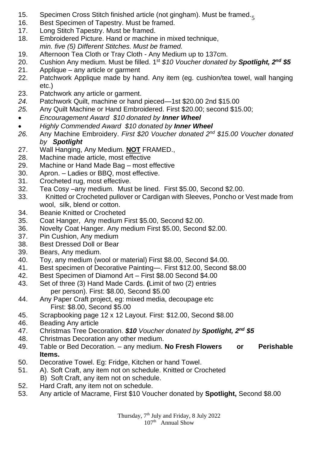- 15. Specimen Cross Stitch finished article (not gingham). Must be framed.<sub>5</sub>
- 16. Best Specimen of Tapestry. Must be framed.<br>17. Long Stitch Tapestry. Must be framed.
- Long Stitch Tapestry. Must be framed.
- 18. Embroidered Picture. Hand or machine in mixed technique, *min. five (5) Different Stitches. Must be framed.*
- 19. Afternoon Tea Cloth or Tray Cloth Any Medium up to 137cm.<br>20. Cushion Any medium. Must be filled. 1<sup>st</sup> \$10 Voucher donated
- 20. Cushion Any medium. Must be filled. 1 st *\$10 Voucher donated by Spotlight, 2nd \$5*
- 21. Applique any article or garment
- 22. Patchwork Applique made by hand. Any item (eg. cushion/tea towel, wall hanging etc.)
- 23. Patchwork any article or garment.<br>24. Patchwork Quilt, machine or hand
- *24.* Patchwork Quilt, machine or hand pieced—1st \$20.00 2nd \$15.00
- *25.* Any Quilt Machine or Hand Embroidered. First \$20.00; second \$15.00;
- *Encouragement Award \$10 donated by Inner Wheel*
- *Highly Commended Award \$10 donated by Inner Wheel*
- *26.* Any Machine Embroidery. *First \$20 Voucher donated 2 nd \$15.00 Voucher donated by Spotlight*
- 27. Wall Hanging, Any Medium. **NOT** FRAMED.,
- 28. Machine made article, most effective<br>29. Machine or Hand Made Bag most e
- Machine or Hand Made Bag most effective
- 30. Apron. Ladies or BBQ, most effective.
- 31. Crocheted rug, most effective.
- 32. Tea Cosy –any medium. Must be lined. First \$5.00, Second \$2.00.
- 33. Knitted or Crocheted pullover or Cardigan with Sleeves, Poncho or Vest made from wool, silk, blend or cotton.
- 34. Beanie Knitted or Crocheted
- 35. Coat Hanger, Any medium First \$5.00, Second \$2.00.
- 36. Novelty Coat Hanger. Any medium First \$5.00, Second \$2.00.
- Pin Cushion, Any medium
- 38. Best Dressed Doll or Bear
- 39. Bears, Any medium.
- 40. Toy, any medium (wool or material) First \$8.00, Second \$4.00.
- 41. Best specimen of Decorative Painting—. First \$12.00, Second \$8.00
- Best Specimen of Diamond Art First \$8.00 Second \$4.00
- 43. Set of three (3) Hand Made Cards. **(**Limit of two (2) entries per person). First: \$8.00, Second \$5.00
- 44. Any Paper Craft project, eg: mixed media, decoupage etc First: \$8.00, Second \$5.00
- 45. Scrapbooking page 12 x 12 Layout. First: \$12.00, Second \$8.00
- 46. Beading Any article
- 47. Christmas Tree Decoration. *\$10 Voucher donated by Spotlight, 2nd \$5*
- 48. Christmas Decoration any other medium.
- 49. Table or Bed Decoration. any medium. **No Fresh Flowers or Perishable Items.**
- 50. Decorative Towel. Eg: Fridge, Kitchen or hand Towel.
- 51. A). Soft Craft, any item not on schedule. Knitted or Crocheted B) Soft Craft, any item not on schedule.
- 52. Hard Craft, any item not on schedule.<br>53. Any article of Macrame. First \$10 Vous
- 53. Any article of Macrame, First \$10 Voucher donated by **Spotlight,** Second \$8.00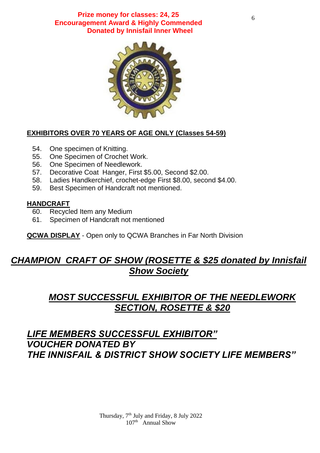**Prize money for classes: 24, 25 Encouragement Award & Highly Commended Donated by Innisfail Inner Wheel**



#### **EXHIBITORS OVER 70 YEARS OF AGE ONLY (Classes 54-59)**

- 54. One specimen of Knitting.
- 55. One Specimen of Crochet Work.
- 56. One Specimen of Needlework.
- 57. Decorative Coat Hanger, First \$5.00, Second \$2.00.<br>58. Ladies Handkerchief, crochet-edge First \$8.00, secor
- Ladies Handkerchief, crochet-edge First \$8.00, second \$4.00.
- 59. Best Specimen of Handcraft not mentioned.

#### **HANDCRAFT**

- 60. Recycled Item any Medium
- 61. Specimen of Handcraft not mentioned

**QCWA DISPLAY** - Open only to QCWA Branches in Far North Division

# *CHAMPION CRAFT OF SHOW (ROSETTE & \$25 donated by Innisfail Show Society*

# *MOST SUCCESSFUL EXHIBITOR OF THE NEEDLEWORK SECTION, ROSETTE & \$20*

# *LIFE MEMBERS SUCCESSFUL EXHIBITOR" VOUCHER DONATED BY THE INNISFAIL & DISTRICT SHOW SOCIETY LIFE MEMBERS"*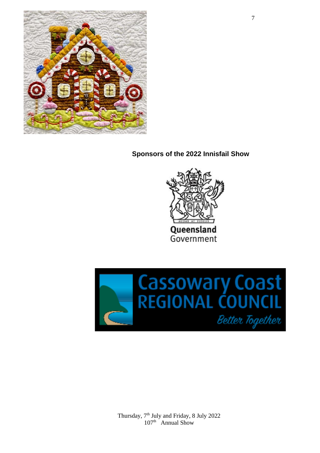

**Sponsors of the 2022 Innisfail Show**



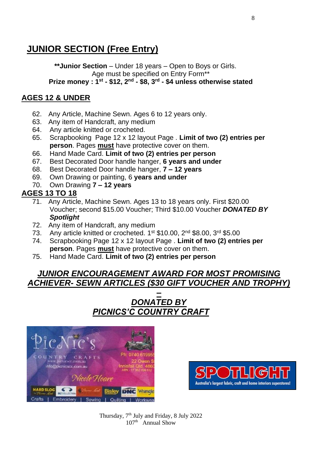# **JUNIOR SECTION (Free Entry)**

**\*\*Junior Section** – Under 18 years – Open to Boys or Girls. Age must be specified on Entry Form\*\* **Prize money : 1st - \$12, 2nd - \$8, 3rd - \$4 unless otherwise stated**

#### **AGES 12 & UNDER**

- 62. Any Article, Machine Sewn. Ages 6 to 12 years only.
- 63. Any item of Handcraft, any medium
- 64. Any article knitted or crocheted.
- 65. Scrapbooking Page 12 x 12 layout Page . **Limit of two (2) entries per person**. Pages **must** have protective cover on them.
- 66. Hand Made Card. **Limit of two (2) entries per person**
- 67. Best Decorated Door handle hanger, **6 years and under**
- 68. Best Decorated Door handle hanger, **7 – 12 years**
- 69. Own Drawing or painting, 6 **years and under**
- 70. Own Drawing **7 – 12 years**

#### **AGES 13 TO 18**

- 71. Any Article, Machine Sewn. Ages 13 to 18 years only. First \$20.00 Voucher; second \$15.00 Voucher; Third \$10.00 Voucher *DONATED BY Spotlight*
- 72. Any item of Handcraft, any medium
- 73. Any article knitted or crocheted. 1<sup>st</sup> \$10.00, 2<sup>nd</sup> \$8.00, 3<sup>rd</sup> \$5.00
- 74. Scrapbooking Page 12 x 12 layout Page . **Limit of two (2) entries per person**. Pages **must** have protective cover on them.
- 75. Hand Made Card. **Limit of two (2) entries per person**

## *JUNIOR ENCOURAGEMENT AWARD FOR MOST PROMISING ACHIEVER- SEWN ARTICLES (\$30 GIFT VOUCHER AND TROPHY)*

## *– DONATED BY PICNICS'C COUNTRY CRAFT*



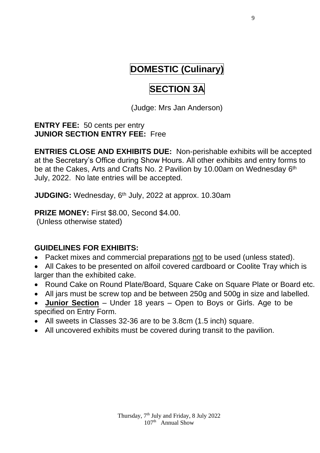# **DOMESTIC (Culinary)**

# **SECTION 3A**

(Judge: Mrs Jan Anderson)

#### **ENTRY FEE:** 50 cents per entry **JUNIOR SECTION ENTRY FEE:** Free

**ENTRIES CLOSE AND EXHIBITS DUE:** Non-perishable exhibits will be accepted at the Secretary's Office during Show Hours. All other exhibits and entry forms to be at the Cakes, Arts and Crafts No. 2 Pavilion by 10.00am on Wednesday 6<sup>th</sup> July, 2022. No late entries will be accepted.

JUDGING: Wednesday, 6<sup>th</sup> July, 2022 at approx. 10.30am

# **PRIZE MONEY:** First \$8.00, Second \$4.00.

(Unless otherwise stated)

# **GUIDELINES FOR EXHIBITS:**

- Packet mixes and commercial preparations not to be used (unless stated).
- All Cakes to be presented on alfoil covered cardboard or Coolite Tray which is larger than the exhibited cake.
- Round Cake on Round Plate/Board, Square Cake on Square Plate or Board etc.
- All jars must be screw top and be between 250g and 500g in size and labelled.
- **Junior Section** Under 18 years Open to Boys or Girls. Age to be specified on Entry Form.
- All sweets in Classes 32-36 are to be 3.8cm (1.5 inch) square.
- All uncovered exhibits must be covered during transit to the pavilion.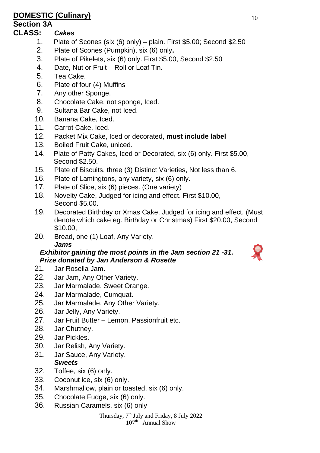# **DOMESTIC (Culinary)** 10

#### **Section 3A**

#### **CLASS:** *Cakes*

- 1. Plate of Scones (six (6) only) plain. First \$5.00; Second \$2.50
- 2. Plate of Scones (Pumpkin), six (6) only**.**
- 3. Plate of Pikelets, six (6) only. First \$5.00, Second \$2.50
- 4. Date, Nut or Fruit Roll or Loaf Tin.
- 5. Tea Cake.
- 6. Plate of four (4) Muffins
- 7. Any other Sponge.
- 8. Chocolate Cake, not sponge, Iced.
- 9. Sultana Bar Cake, not Iced.
- 10. Banana Cake, Iced.
- 11. Carrot Cake, Iced.<br>12. Packet Mix Cake, I
- 12. Packet Mix Cake, Iced or decorated, **must include label**
- 13. Boiled Fruit Cake, uniced.
- 14. Plate of Patty Cakes, Iced or Decorated, six (6) only. First \$5.00, Second \$2.50.
- 15. Plate of Biscuits, three (3) Distinct Varieties, Not less than 6.
- 16. Plate of Lamingtons, any variety, six (6) only.
- 17. Plate of Slice, six (6) pieces. (One variety)
- 18. Novelty Cake, Judged for icing and effect. First \$10.00, Second \$5.00.
- 19. Decorated Birthday or Xmas Cake, Judged for icing and effect. (Must denote which cake eg. Birthday or Christmas) First \$20.00, Second \$10.00,
- 20. Bread, one (1) Loaf, Any Variety. *Jams*

#### *Exhibitor gaining the most points in the Jam section 21 -31. Prize donated by Jan Anderson & Rosette*

- 21. Jar Rosella Jam.
- 22. Jar Jam, Any Other Variety.
- 23. Jar Marmalade, Sweet Orange.
- 24. Jar Marmalade, Cumquat.
- 25. Jar Marmalade, Any Other Variety.
- 26. Jar Jelly, Any Variety.
- 27. Jar Fruit Butter Lemon, Passionfruit etc.
- 28. Jar Chutney.
- 29. Jar Pickles.
- 30. Jar Relish, Any Variety.
- 31. Jar Sauce, Any Variety.

#### *Sweets*

- 32. Toffee, six (6) only.
- 33. Coconut ice, six (6) only.
- 34. Marshmallow, plain or toasted, six (6) only.
- 35. Chocolate Fudge, six (6) only.
- 36. Russian Caramels, six (6) only

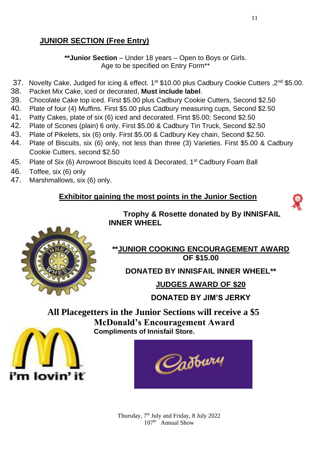# **JUNIOR SECTION (Free Entry)**

**\*\*Junior Section** – Under 18 years – Open to Boys or Girls. Age to be specified on Entry Form\*\*

- 37. Novelty Cake, Judged for icing & effect. 1st \$10.00 plus Cadbury Cookie Cutters ,2<sup>nd</sup> \$5.00.
- 38. Packet Mix Cake, iced or decorated, **Must include label**.
- 39. Chocolate Cake top iced. First \$5.00 plus Cadbury Cookie Cutters, Second \$2.50
- 40. Plate of four (4) Muffins. First \$5.00 plus Cadbury measuring cups, Second \$2.50
- 41. Patty Cakes, plate of six (6) iced and decorated. First \$5.00; Second \$2.50
- 42. Plate of Scones (plain) 6 only. First \$5.00 & Cadbury Tin Truck, Second \$2.50
- 43. Plate of Pikelets, six (6) only. First \$5.00 & Cadbury Key chain, Second \$2.50.<br>44. Plate of Biscuits, six (6) only, not less than three (3) Varieties, First \$5.00 &
- Plate of Biscuits, six (6) only, not less than three (3) Varieties. First \$5.00 & Cadburv Cookie Cutters, second \$2.50
- 45. Plate of Six (6) Arrowroot Biscuits Iced & Decorated, 1<sup>st</sup> Cadbury Foam Ball
- 46. Toffee, six (6) only<br>47 Marshmallows six
- Marshmallows, six (6) only.

# **Exhibitor gaining the most points in the Junior Section**



 **Trophy & Rosette donated by By INNISFAIL INNER WHEEL**



#### **\*\*JUNIOR COOKING ENCOURAGEMENT AWARD OF \$15.00**

**DONATED BY INNISFAIL INNER WHEEL\*\***

**JUDGES AWARD OF \$20** 

**DONATED BY JIM'S JERKY**

**All Placegetters in the Junior Sections will receive a \$5 McDonald's Encouragement Award Compliments of Innisfail Store.**



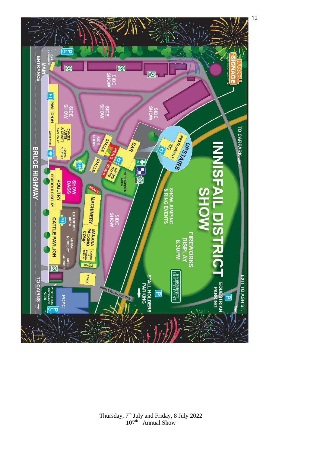

Thursday, 7<sup>th</sup> July and Friday, 8 July 2022 107<sup>th</sup> Annual Show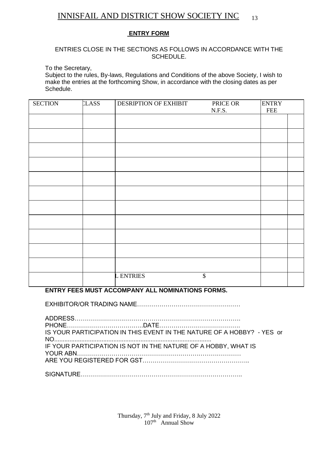#### INNISFAIL AND DISTRICT SHOW SOCIETY INC

#### **ENTRY FORM**

#### ENTRIES CLOSE IN THE SECTIONS AS FOLLOWS IN ACCORDANCE WITH THE SCHEDULE.

To the Secretary,

Subject to the rules, By-laws, Regulations and Conditions of the above Society, I wish to make the entries at the forthcoming Show, in accordance with the closing dates as per Schedule.

| <b>SECTION</b> | <b>LASS</b> | DESRIPTION OF EXHIBIT | PRICE OR<br>$N.F.S.$ | <b>ENTRY</b><br>${\rm FEE}$ |
|----------------|-------------|-----------------------|----------------------|-----------------------------|
|                |             |                       |                      |                             |
|                |             |                       |                      |                             |
|                |             |                       |                      |                             |
|                |             |                       |                      |                             |
|                |             |                       |                      |                             |
|                |             |                       |                      |                             |
|                |             |                       |                      |                             |
|                |             |                       |                      |                             |
|                |             |                       |                      |                             |
|                |             |                       |                      |                             |
|                |             |                       |                      |                             |
|                |             | <b>LENTRIES</b>       | \$                   |                             |

#### **ENTRY FEES MUST ACCOMPANY ALL NOMINATIONS FORMS.**

EXHIBITOR/OR TRADING NAME……………………………………………

| IS YOUR PARTICIPATION IN THIS EVENT IN THE NATURE OF A HOBBY? - YES or |
|------------------------------------------------------------------------|
| IF YOUR PARTICIPATION IS NOT IN THE NATURE OF A HOBBY. WHAT IS         |
|                                                                        |
|                                                                        |

SIGNATURE……………………………………………………………………..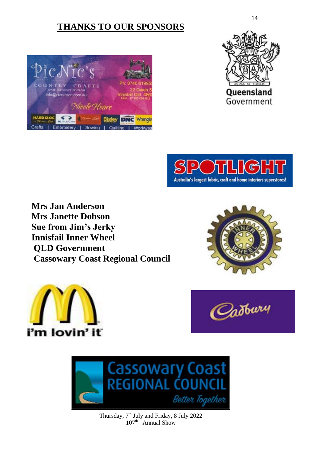# **THANKS TO OUR SPONSORS**







 **Mrs Jan Anderson Mrs Janette Dobson Sue from Jim's Jerky Innisfail Inner Wheel QLD Government Cassowary Coast Regional Council**







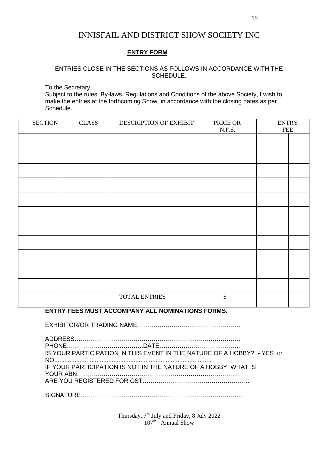### INNISFAIL AND DISTRICT SHOW SOCIETY INC

#### **ENTRY FORM**

#### ENTRIES CLOSE IN THE SECTIONS AS FOLLOWS IN ACCORDANCE WITH THE SCHEDULE.

To the Secretary,

Subject to the rules, By-laws, Regulations and Conditions of the above Society, I wish to make the entries at the forthcoming Show, in accordance with the closing dates as per Schedule.

| <b>SECTION</b> | CLASS | DESCRIPTION OF EXHIBIT | PRICE OR | <b>ENTRY</b> |
|----------------|-------|------------------------|----------|--------------|
|                |       |                        | N.F.S.   | <b>FEE</b>   |
|                |       |                        |          |              |
|                |       |                        |          |              |
|                |       |                        |          |              |
|                |       |                        |          |              |
|                |       |                        |          |              |
|                |       |                        |          |              |
|                |       |                        |          |              |
|                |       |                        |          |              |
|                |       |                        |          |              |
|                |       |                        |          |              |
|                |       |                        |          |              |
|                |       |                        |          |              |
|                |       | <b>TOTAL ENTRIES</b>   | \$       |              |

#### **ENTRY FEES MUST ACCOMPANY ALL NOMINATIONS FORMS.**

EXHIBITOR/OR TRADING NAME……………………………………………

ADDRESS………………………………………………………………………. PHONE………………………………..DATE…………………………………. IS YOUR PARTICIPATION IN THIS EVENT IN THE NATURE OF A HOBBY? - YES or NO............................................................................................. IF YOUR PARTICIPATION IS NOT IN THE NATURE OF A HOBBY, WHAT IS YOUR ABN……………………………………………………………………… ARE YOU REGISTERED FOR GST……………………………………………..

SIGNATURE……………………………………………………………………..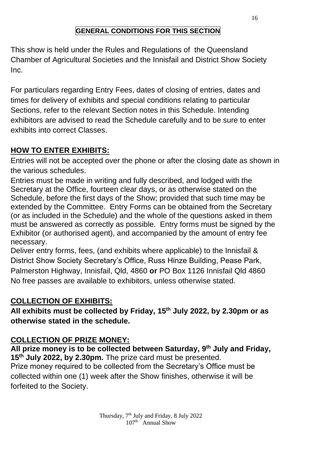# **GENERAL CONDITIONS FOR THIS SECTION**

This show is held under the Rules and Regulations of the Queensland Chamber of Agricultural Societies and the Innisfail and District Show Society Inc.

For particulars regarding Entry Fees, dates of closing of entries, dates and times for delivery of exhibits and special conditions relating to particular Sections, refer to the relevant Section notes in this Schedule. Intending exhibitors are advised to read the Schedule carefully and to be sure to enter exhibits into correct Classes.

# **HOW TO ENTER EXHIBITS:**

Entries will not be accepted over the phone or after the closing date as shown in the various schedules.

Entries must be made in writing and fully described, and lodged with the Secretary at the Office, fourteen clear days, or as otherwise stated on the Schedule, before the first days of the Show; provided that such time may be extended by the Committee. Entry Forms can be obtained from the Secretary (or as included in the Schedule) and the whole of the questions asked in them must be answered as correctly as possible. Entry forms must be signed by the Exhibitor (or authorised agent), and accompanied by the amount of entry fee necessary.

Deliver entry forms, fees, (and exhibits where applicable) to the Innisfail & District Show Society Secretary's Office, Russ Hinze Building, Pease Park, Palmerston Highway, Innisfail, Qld, 4860 **or** PO Box 1126 Innisfail Qld 4860 No free passes are available to exhibitors, unless otherwise stated.

# **COLLECTION OF EXHIBITS:**

**All exhibits must be collected by Friday, 15 th July 2022, by 2.30pm or as otherwise stated in the schedule.**

# **COLLECTION OF PRIZE MONEY:**

**All prize money is to be collected between Saturday, 9 th July and Friday, 15 th July 2022, by 2.30pm.** The prize card must be presented. Prize money required to be collected from the Secretary's Office must be collected within one (1) week after the Show finishes, otherwise it will be forfeited to the Society.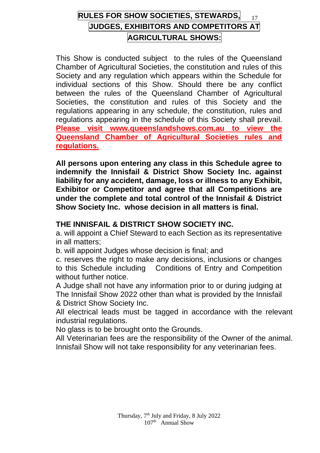# **RULES FOR SHOW SOCIETIES, STEWARDS,** <sup>17</sup> **JUDGES, EXHIBITORS AND COMPETITORS AT AGRICULTURAL SHOWS:**

This Show is conducted subject to the rules of the Queensland Chamber of Agricultural Societies, the constitution and rules of this Society and any regulation which appears within the Schedule for individual sections of this Show. Should there be any conflict between the rules of the Queensland Chamber of Agricultural Societies, the constitution and rules of this Society and the regulations appearing in any schedule, the constitution, rules and regulations appearing in the schedule of this Society shall prevail. **Please visit www.queenslandshows.com.au to view the Queensland Chamber of Agricultural Societies rules and regulations.**

**All persons upon entering any class in this Schedule agree to indemnify the Innisfail & District Show Society Inc. against liability for any accident, damage, loss or illness to any Exhibit, Exhibitor or Competitor and agree that all Competitions are under the complete and total control of the Innisfail & District Show Society Inc. whose decision in all matters is final.**

## **THE INNISFAIL & DISTRICT SHOW SOCIETY INC.**

a. will appoint a Chief Steward to each Section as its representative in all matters;

b. will appoint Judges whose decision is final; and

c. reserves the right to make any decisions, inclusions or changes to this Schedule including Conditions of Entry and Competition without further notice

A Judge shall not have any information prior to or during judging at The Innisfail Show 2022 other than what is provided by the Innisfail & District Show Society Inc.

All electrical leads must be tagged in accordance with the relevant industrial regulations.

No glass is to be brought onto the Grounds.

All Veterinarian fees are the responsibility of the Owner of the animal. Innisfail Show will not take responsibility for any veterinarian fees.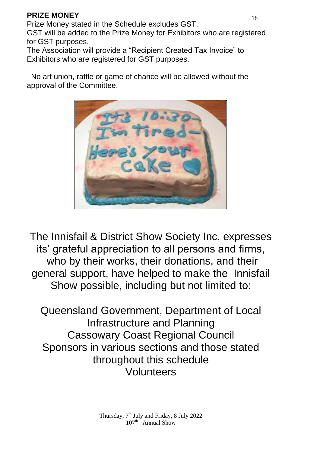## **PRIZE MONEY** 18

Prize Money stated in the Schedule excludes GST.

GST will be added to the Prize Money for Exhibitors who are registered for GST purposes.

The Association will provide a "Recipient Created Tax Invoice" to Exhibitors who are registered for GST purposes.

 No art union, raffle or game of chance will be allowed without the approval of the Committee.



The Innisfail & District Show Society Inc. expresses its' grateful appreciation to all persons and firms, who by their works, their donations, and their general support, have helped to make the Innisfail Show possible, including but not limited to:

Queensland Government, Department of Local Infrastructure and Planning Cassowary Coast Regional Council Sponsors in various sections and those stated throughout this schedule Volunteers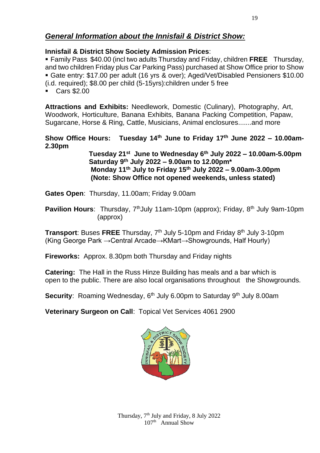#### *General Information about the Innisfail & District Show:*

#### **Innisfail & District Show Society Admission Prices**:

▪ Family Pass \$40.00 (incl two adults Thursday and Friday, children **FREE** Thursday, and two children Friday plus Car Parking Pass) purchased at Show Office prior to Show ▪ Gate entry: \$17.00 per adult (16 yrs & over); Aged/Vet/Disabled Pensioners \$10.00 (i.d. required); \$8.00 per child (5-15yrs):children under 5 free

▪ Cars \$2.00

**Attractions and Exhibits:** Needlework, Domestic (Culinary), Photography, Art, Woodwork, Horticulture, Banana Exhibits, Banana Packing Competition, Papaw, Sugarcane, Horse & Ring, Cattle, Musicians, Animal enclosures.......and more

#### **Show Office Hours: Tuesday 14th June to Friday 17 th June 2022 – 10.00am-2.30pm**

 **Tuesday 21st June to Wednesday 6th July 2022 – 10.00am-5.00pm Saturday 9th July 2022 – 9.00am to 12.00pm\* Monday 11th July to Friday 15th July 2022 – 9.00am-3.00pm (Note: Show Office not opened weekends, unless stated)**

- **Gates Open**: Thursday, 11.00am; Friday 9.00am
- **Pavilion Hours**: Thursday, 7<sup>th</sup>July 11am-10pm (approx); Friday, 8<sup>th</sup> July 9am-10pm (approx)

**Transport**: Buses **FREE** Thursday, 7 th July 5-10pm and Friday 8 th July 3-10pm (King George Park →Central Arcade→KMart→Showgrounds, Half Hourly)

**Fireworks:** Approx. 8.30pm both Thursday and Friday nights

**Catering:** The Hall in the Russ Hinze Building has meals and a bar which is open to the public. There are also local organisations throughout the Showgrounds.

**Security:** Roaming Wednesday, 6<sup>th</sup> July 6,00pm to Saturday 9<sup>th</sup> July 8,00am

**Veterinary Surgeon on Call**: Topical Vet Services 4061 2900